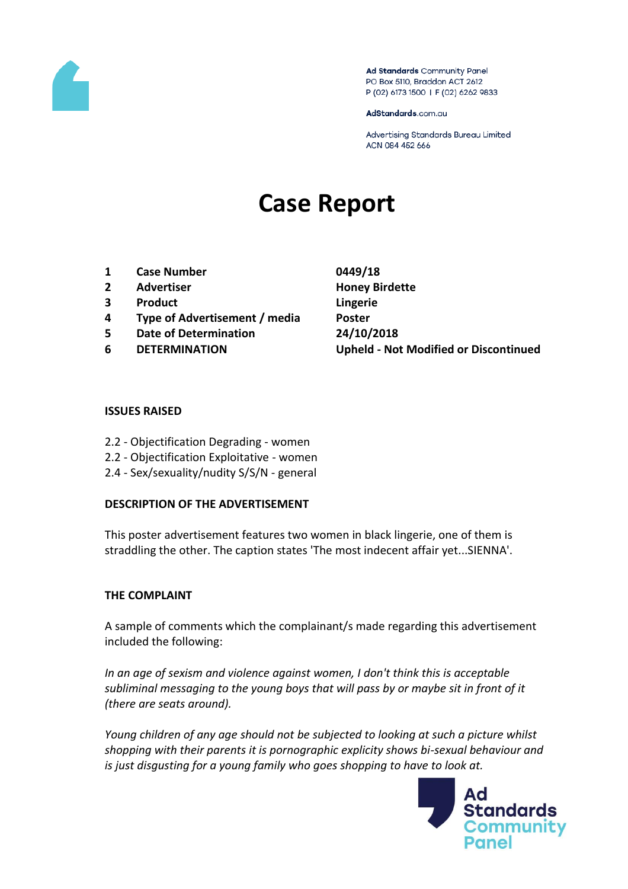

Ad Standards Community Panel PO Box 5110, Braddon ACT 2612 P (02) 6173 1500 | F (02) 6262 9833

AdStandards.com.au

Advertising Standards Bureau Limited ACN 084 452 666

# **Case Report**

- **1 Case Number 0449/18**
- **2 Advertiser Honey Birdette**
- **3 Product Lingerie**
- **4 Type of Advertisement / media Poster**
- **5 Date of Determination 24/10/2018**
- 

**6 DETERMINATION Upheld - Not Modified or Discontinued**

### **ISSUES RAISED**

- 2.2 Objectification Degrading women
- 2.2 Objectification Exploitative women
- 2.4 Sex/sexuality/nudity S/S/N general

### **DESCRIPTION OF THE ADVERTISEMENT**

This poster advertisement features two women in black lingerie, one of them is straddling the other. The caption states 'The most indecent affair yet...SIENNA'.

### **THE COMPLAINT**

A sample of comments which the complainant/s made regarding this advertisement included the following:

*In an age of sexism and violence against women, I don't think this is acceptable subliminal messaging to the young boys that will pass by or maybe sit in front of it (there are seats around).*

*Young children of any age should not be subjected to looking at such a picture whilst shopping with their parents it is pornographic explicity shows bi-sexual behaviour and is just disgusting for a young family who goes shopping to have to look at.*

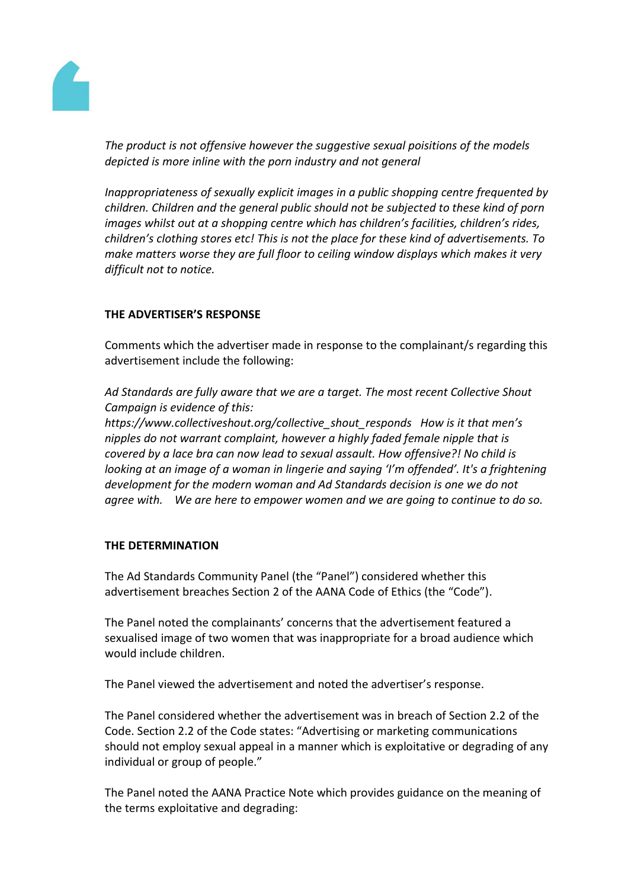

*The product is not offensive however the suggestive sexual poisitions of the models depicted is more inline with the porn industry and not general*

*Inappropriateness of sexually explicit images in a public shopping centre frequented by children. Children and the general public should not be subjected to these kind of porn images whilst out at a shopping centre which has children's facilities, children's rides, children's clothing stores etc! This is not the place for these kind of advertisements. To make matters worse they are full floor to ceiling window displays which makes it very difficult not to notice.*

# **THE ADVERTISER'S RESPONSE**

Comments which the advertiser made in response to the complainant/s regarding this advertisement include the following:

*Ad Standards are fully aware that we are a target. The most recent Collective Shout Campaign is evidence of this:* 

*https://www.collectiveshout.org/collective\_shout\_responds How is it that men's nipples do not warrant complaint, however a highly faded female nipple that is covered by a lace bra can now lead to sexual assault. How offensive?! No child is looking at an image of a woman in lingerie and saying 'I'm offended'. It's a frightening development for the modern woman and Ad Standards decision is one we do not agree with. We are here to empower women and we are going to continue to do so.*

### **THE DETERMINATION**

The Ad Standards Community Panel (the "Panel") considered whether this advertisement breaches Section 2 of the AANA Code of Ethics (the "Code").

The Panel noted the complainants' concerns that the advertisement featured a sexualised image of two women that was inappropriate for a broad audience which would include children.

The Panel viewed the advertisement and noted the advertiser's response.

The Panel considered whether the advertisement was in breach of Section 2.2 of the Code. Section 2.2 of the Code states: "Advertising or marketing communications should not employ sexual appeal in a manner which is exploitative or degrading of any individual or group of people."

The Panel noted the AANA Practice Note which provides guidance on the meaning of the terms exploitative and degrading: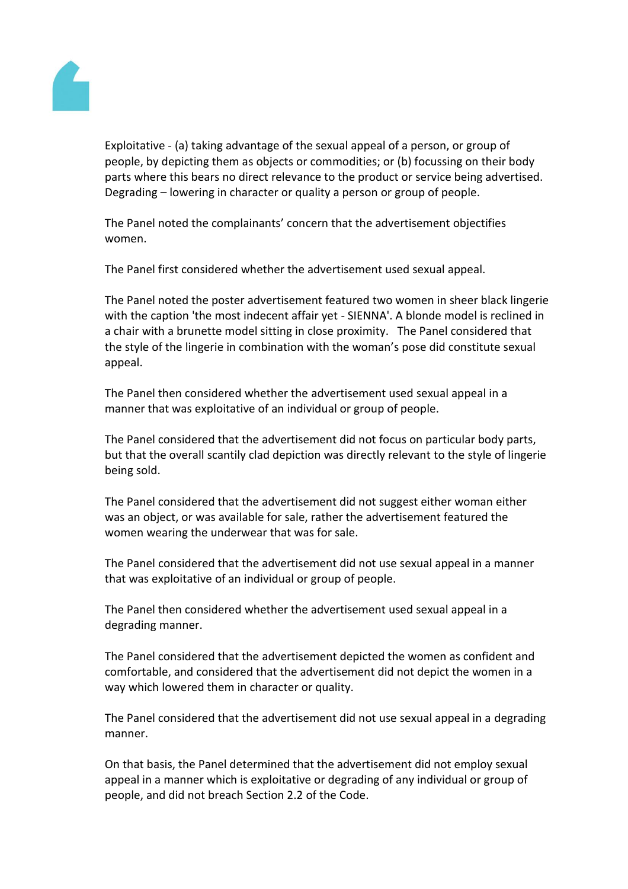

Exploitative - (a) taking advantage of the sexual appeal of a person, or group of people, by depicting them as objects or commodities; or (b) focussing on their body parts where this bears no direct relevance to the product or service being advertised. Degrading – lowering in character or quality a person or group of people.

The Panel noted the complainants' concern that the advertisement objectifies women.

The Panel first considered whether the advertisement used sexual appeal.

The Panel noted the poster advertisement featured two women in sheer black lingerie with the caption 'the most indecent affair yet - SIENNA'. A blonde model is reclined in a chair with a brunette model sitting in close proximity. The Panel considered that the style of the lingerie in combination with the woman's pose did constitute sexual appeal.

The Panel then considered whether the advertisement used sexual appeal in a manner that was exploitative of an individual or group of people.

The Panel considered that the advertisement did not focus on particular body parts, but that the overall scantily clad depiction was directly relevant to the style of lingerie being sold.

The Panel considered that the advertisement did not suggest either woman either was an object, or was available for sale, rather the advertisement featured the women wearing the underwear that was for sale.

The Panel considered that the advertisement did not use sexual appeal in a manner that was exploitative of an individual or group of people.

The Panel then considered whether the advertisement used sexual appeal in a degrading manner.

The Panel considered that the advertisement depicted the women as confident and comfortable, and considered that the advertisement did not depict the women in a way which lowered them in character or quality.

The Panel considered that the advertisement did not use sexual appeal in a degrading manner.

On that basis, the Panel determined that the advertisement did not employ sexual appeal in a manner which is exploitative or degrading of any individual or group of people, and did not breach Section 2.2 of the Code.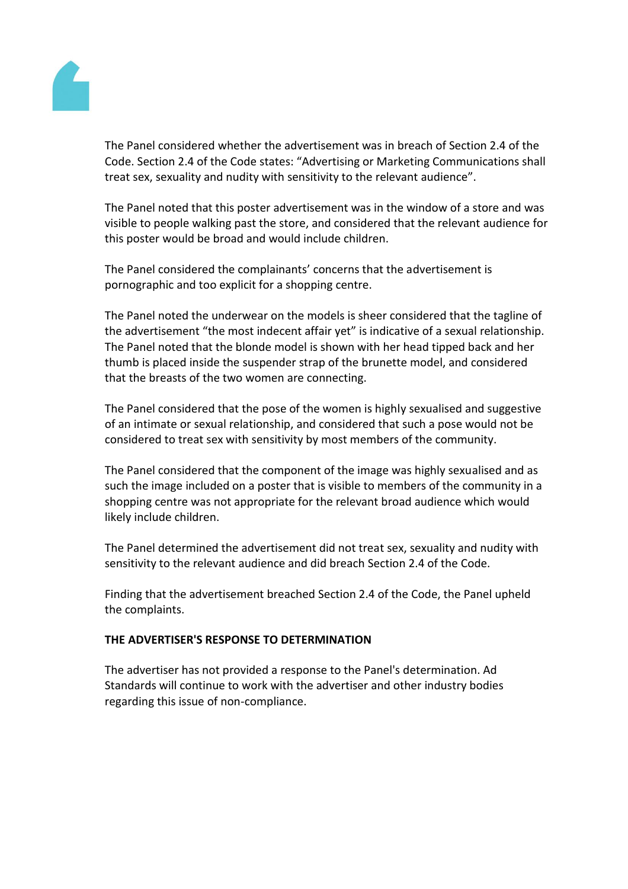

The Panel considered whether the advertisement was in breach of Section 2.4 of the Code. Section 2.4 of the Code states: "Advertising or Marketing Communications shall treat sex, sexuality and nudity with sensitivity to the relevant audience".

The Panel noted that this poster advertisement was in the window of a store and was visible to people walking past the store, and considered that the relevant audience for this poster would be broad and would include children.

The Panel considered the complainants' concerns that the advertisement is pornographic and too explicit for a shopping centre.

The Panel noted the underwear on the models is sheer considered that the tagline of the advertisement "the most indecent affair yet" is indicative of a sexual relationship. The Panel noted that the blonde model is shown with her head tipped back and her thumb is placed inside the suspender strap of the brunette model, and considered that the breasts of the two women are connecting.

The Panel considered that the pose of the women is highly sexualised and suggestive of an intimate or sexual relationship, and considered that such a pose would not be considered to treat sex with sensitivity by most members of the community.

The Panel considered that the component of the image was highly sexualised and as such the image included on a poster that is visible to members of the community in a shopping centre was not appropriate for the relevant broad audience which would likely include children.

The Panel determined the advertisement did not treat sex, sexuality and nudity with sensitivity to the relevant audience and did breach Section 2.4 of the Code.

Finding that the advertisement breached Section 2.4 of the Code, the Panel upheld the complaints.

# **THE ADVERTISER'S RESPONSE TO DETERMINATION**

The advertiser has not provided a response to the Panel's determination. Ad Standards will continue to work with the advertiser and other industry bodies regarding this issue of non-compliance.